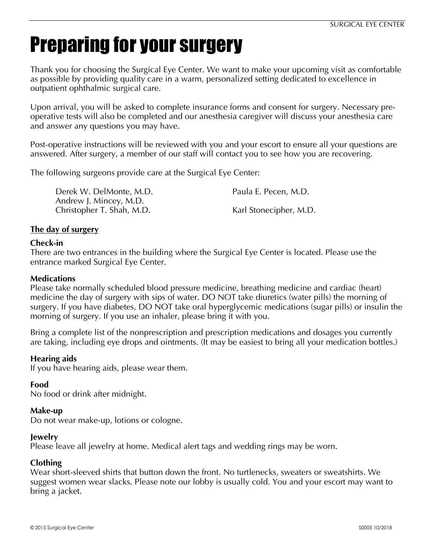# Preparing for your surgery

Thank you for choosing the Surgical Eye Center. We want to make your upcoming visit as comfortable as possible by providing quality care in a warm, personalized setting dedicated to excellence in outpatient ophthalmic surgical care.

Upon arrival, you will be asked to complete insurance forms and consent for surgery. Necessary preoperative tests will also be completed and our anesthesia caregiver will discuss your anesthesia care and answer any questions you may have.

Post-operative instructions will be reviewed with you and your escort to ensure all your questions are answered. After surgery, a member of our staff will contact you to see how you are recovering.

The following surgeons provide care at the Surgical Eye Center:

Derek W. DelMonte, M.D. **Paula E. Pecen, M.D.** Paula E. Pecen, M.D. Andrew J. Mincey, M.D. Christopher T. Shah, M.D. Karl Stonecipher, M.D.

# **The day of surgery**

# **Check-in**

There are two entrances in the building where the Surgical Eye Center is located. Please use the entrance marked Surgical Eye Center.

## **Medications**

Please take normally scheduled blood pressure medicine, breathing medicine and cardiac (heart) medicine the day of surgery with sips of water. DO NOT take diuretics (water pills) the morning of surgery. If you have diabetes, DO NOT take oral hyperglycemic medications (sugar pills) or insulin the morning of surgery. If you use an inhaler, please bring it with you.

Bring a complete list of the nonprescription and prescription medications and dosages you currently are taking, including eye drops and ointments. (It may be easiest to bring all your medication bottles.)

## **Hearing aids**

If you have hearing aids, please wear them.

## **Food**

No food or drink after midnight.

## **Make-up**

Do not wear make-up, lotions or cologne.

## **Jewelry**

Please leave all jewelry at home. Medical alert tags and wedding rings may be worn.

## **Clothing**

Wear short-sleeved shirts that button down the front. No turtlenecks, sweaters or sweatshirts. We suggest women wear slacks. Please note our lobby is usually cold. You and your escort may want to bring a jacket.